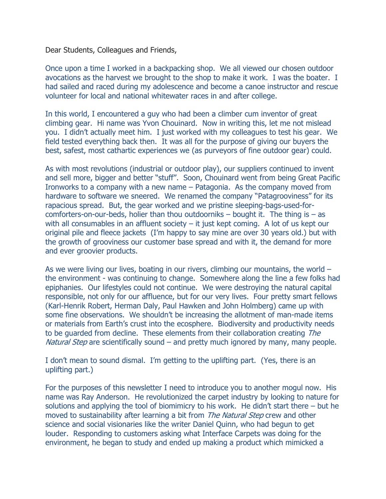Dear Students, Colleagues and Friends,

Once upon a time I worked in a backpacking shop. We all viewed our chosen outdoor avocations as the harvest we brought to the shop to make it work. I was the boater. I had sailed and raced during my adolescence and become a canoe instructor and rescue volunteer for local and national whitewater races in and after college.

In this world, I encountered a guy who had been a climber cum inventor of great climbing gear. Hi name was Yvon Chouinard. Now in writing this, let me not mislead you. I didn't actually meet him. I just worked with my colleagues to test his gear. We field tested everything back then. It was all for the purpose of giving our buyers the best, safest, most cathartic experiences we (as purveyors of fine outdoor gear) could.

As with most revolutions (industrial or outdoor play), our suppliers continued to invent and sell more, bigger and better "stuff". Soon, Chouinard went from being Great Pacific Ironworks to a company with a new name – Patagonia. As the company moved from hardware to software we sneered. We renamed the company "Patagrooviness" for its rapacious spread. But, the gear worked and we pristine sleeping-bags-used-forcomforters-on-our-beds, holier than thou outdoorniks  $-$  bought it. The thing is  $-$  as with all consumables in an affluent society  $-$  it just kept coming. A lot of us kept our original pile and fleece jackets (I'm happy to say mine are over 30 years old.) but with the growth of grooviness our customer base spread and with it, the demand for more and ever groovier products.

As we were living our lives, boating in our rivers, climbing our mountains, the world – the environment - was continuing to change. Somewhere along the line a few folks had epiphanies. Our lifestyles could not continue. We were destroying the natural capital responsible, not only for our affluence, but for our very lives. Four pretty smart fellows (Karl-Henrik Robert, Herman Daly, Paul Hawken and John Holmberg) came up with some fine observations. We shouldn't be increasing the allotment of man-made items or materials from Earth's crust into the ecosphere. Biodiversity and productivity needs to be quarded from decline. These elements from their collaboration creating The *Natural Step* are scientifically sound  $-$  and pretty much ignored by many, many people.

I don't mean to sound dismal. I'm getting to the uplifting part. (Yes, there is an uplifting part.)

For the purposes of this newsletter I need to introduce you to another mogul now. His name was Ray Anderson. He revolutionized the carpet industry by looking to nature for solutions and applying the tool of biomimicry to his work. He didn't start there – but he moved to sustainability after learning a bit from *The Natural Step* crew and other science and social visionaries like the writer Daniel Quinn, who had begun to get louder. Responding to customers asking what Interface Carpets was doing for the environment, he began to study and ended up making a product which mimicked a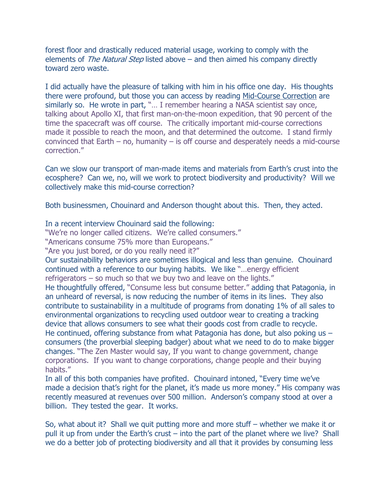forest floor and drastically reduced material usage, working to comply with the elements of *The Natural Step* listed above – and then aimed his company directly toward zero waste.

I did actually have the pleasure of talking with him in his office one day. His thoughts there were profound, but those you can access by reading Mid-Course Correction are similarly so. He wrote in part, "… I remember hearing a NASA scientist say once, talking about Apollo XI, that first man-on-the-moon expedition, that 90 percent of the time the spacecraft was off course. The critically important mid-course corrections made it possible to reach the moon, and that determined the outcome. I stand firmly convinced that Earth – no, humanity – is off course and desperately needs a mid-course correction."

Can we slow our transport of man-made items and materials from Earth's crust into the ecosphere? Can we, no, will we work to protect biodiversity and productivity? Will we collectively make this mid-course correction?

Both businessmen, Chouinard and Anderson thought about this. Then, they acted.

In a recent interview Chouinard said the following:

"We're no longer called citizens. We're called consumers."

"Americans consume 75% more than Europeans."

"Are you just bored, or do you really need it?"

Our sustainability behaviors are sometimes illogical and less than genuine. Chouinard continued with a reference to our buying habits. We like "…energy efficient refrigerators – so much so that we buy two and leave on the lights."

He thoughtfully offered, "Consume less but consume better." adding that Patagonia, in an unheard of reversal, is now reducing the number of items in its lines. They also contribute to sustainability in a multitude of programs from donating 1% of all sales to environmental organizations to recycling used outdoor wear to creating a tracking device that allows consumers to see what their goods cost from cradle to recycle. He continued, offering substance from what Patagonia has done, but also poking us – consumers (the proverbial sleeping badger) about what we need to do to make bigger changes. "The Zen Master would say, If you want to change government, change corporations. If you want to change corporations, change people and their buying habits."

In all of this both companies have profited. Chouinard intoned, "Every time we've made a decision that's right for the planet, it's made us more money." His company was recently measured at revenues over 500 million. Anderson's company stood at over a billion. They tested the gear. It works.

So, what about it? Shall we quit putting more and more stuff – whether we make it or pull it up from under the Earth's crust – into the part of the planet where we live? Shall we do a better job of protecting biodiversity and all that it provides by consuming less